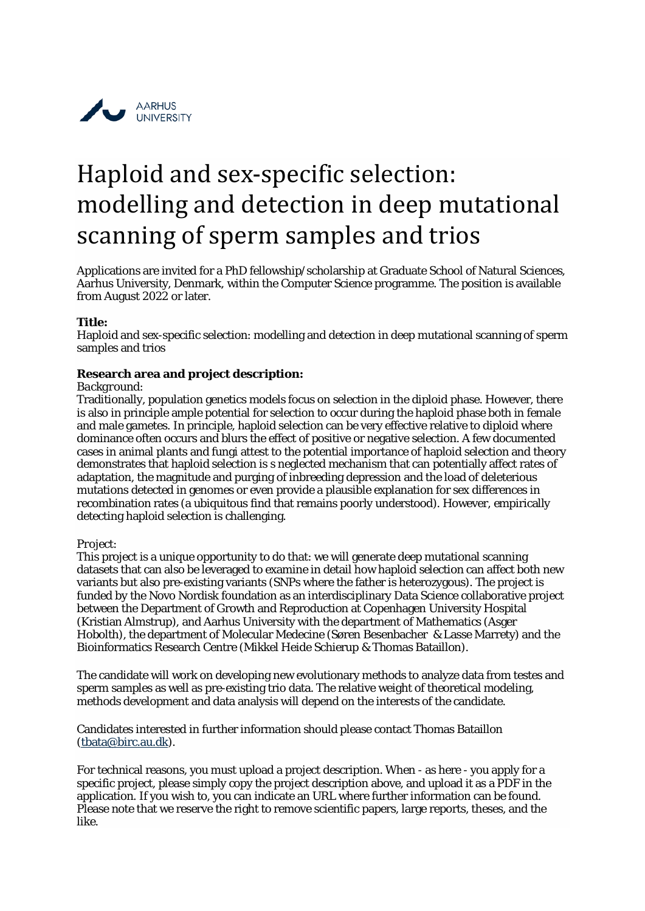

# Haploid and sex-specific selection: modelling and detection in deep mutational scanning of sperm samples and trios

Applications are invited for a PhD fellowship/scholarship at Graduate School of Natural Sciences, Aarhus University, Denmark, within the Computer Science programme. The position is available from August 2022 or later.

### **Title:**

Haploid and sex-specific selection: modelling and detection in deep mutational scanning of sperm samples and trios

# **Research area and project description:**

### *Background:*

Traditionally, population genetics models focus on selection in the diploid phase. However, there is also in principle ample potential for selection to occur during the haploid phase both in female and male gametes. In principle, haploid selection can be very effective relative to diploid where dominance often occurs and blurs the effect of positive or negative selection. A few documented cases in animal plants and fungi attest to the potential importance of haploid selection and theory demonstrates that haploid selection is s neglected mechanism that can potentially affect rates of adaptation, the magnitude and purging of inbreeding depression and the load of deleterious mutations detected in genomes or even provide a plausible explanation for sex differences in recombination rates (a ubiquitous find that remains poorly understood). However, empirically detecting haploid selection is challenging.

### *Project:*

This project is a unique opportunity to do that: we will generate deep mutational scanning datasets that can also be leveraged to examine in detail how haploid selection can affect both new variants but also pre-existing variants (SNPs where the father is heterozygous). The project is funded by the Novo Nordisk foundation as an interdisciplinary Data Science collaborative project between the Department of Growth and Reproduction at Copenhagen University Hospital (Kristian Almstrup), and Aarhus University with the department of Mathematics (Asger Hobolth), the department of Molecular Medecine (Søren Besenbacher & Lasse Marrety) and the Bioinformatics Research Centre (Mikkel Heide Schierup & Thomas Bataillon).

The candidate will work on developing new evolutionary methods to analyze data from testes and sperm samples as well as pre-existing trio data. The relative weight of theoretical modeling, methods development and data analysis will depend on the interests of the candidate.

Candidates interested in further information should please contact Thomas Bataillon [\(tbata@birc.au.dk\)](mailto:tbata@birc.au.dk).

For technical reasons, you must upload a project description. When - as here - you apply for a specific project, please simply copy the project description above, and upload it as a PDF in the application. If you wish to, you can indicate an URL where further information can be found. Please note that we reserve the right to remove scientific papers, large reports, theses, and the like.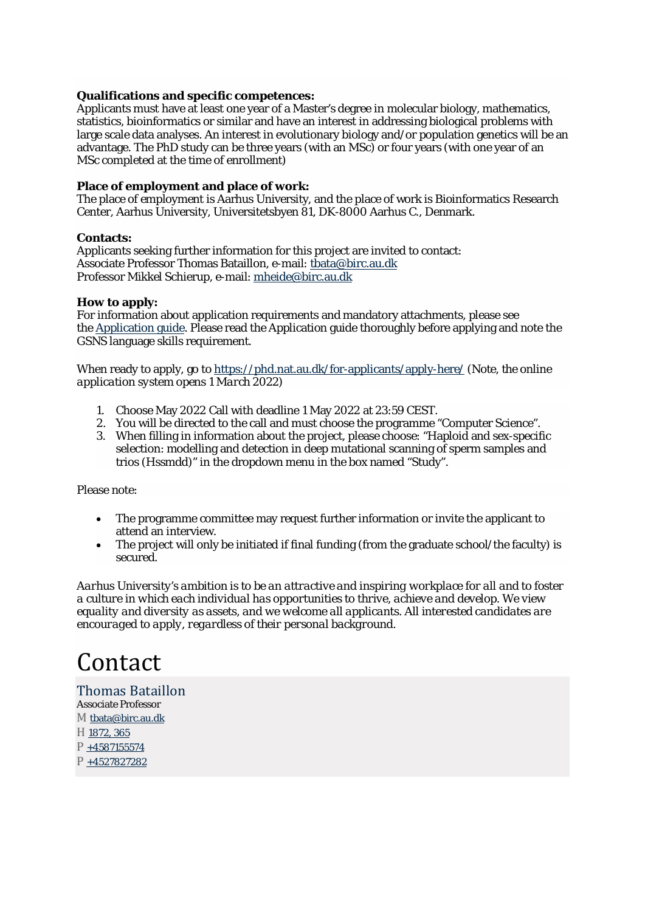## **Qualifications and specific competences:**

Applicants must have at least one year of a Master's degree in molecular biology, mathematics, statistics, bioinformatics or similar and have an interest in addressing biological problems with large scale data analyses. An interest in evolutionary biology and/or population genetics will be an advantage. The PhD study can be three years (with an MSc) or four years (with one year of an MSc completed at the time of enrollment)

# **Place of employment and place of work:**

The place of employment is Aarhus University, and the place of work is Bioinformatics Research Center, Aarhus University, Universitetsbyen 81, DK-8000 Aarhus C., Denmark.

# **Contacts:**

Applicants seeking further information for this project are invited to contact: Associate Professor Thomas Bataillon, e-mail: [tbata@birc.au.dk](mailto:tbata@birc.au.dk) Professor Mikkel Schierup, e-mail: [mheide@birc.au.dk](mailto:mheide@birc.au.dk)

### **How to apply:**

For information about application requirements and mandatory attachments, please see the [Application guide.](https://phd.nat.au.dk/for-applicants/application-guide/) Please read the Application guide thoroughly before applying and note the GSNS language skills requirement.

When ready to apply, go to <https://phd.nat.au.dk/for-applicants/apply-here/> (*Note, the online application system opens 1 March 2022)*

- 1. Choose May 2022 Call with deadline 1 May 2022 at 23:59 CEST.
- 2. You will be directed to the call and must choose the programme "Computer Science".
- 3. When filling in information about the project, please choose: "Haploid and sex-specific selection: modelling and detection in deep mutational scanning of sperm samples and trios (Hssmdd)" in the dropdown menu in the box named "Study".

Please note:

- The programme committee may request further information or invite the applicant to attend an interview.
- The project will only be initiated if final funding (from the graduate school/the faculty) is secured.

*Aarhus University's ambition is to be an attractive and inspiring workplace for all and to foster a culture in which each individual has opportunities to thrive, achieve and develop. We view equality and diversity as assets, and we welcome all applicants. All interested candidates are encouraged to apply, regardless of their personal background.*

# Contact

# Thomas [Bataillon](https://pure.au.dk/portal/en/persons/thomas-bataillon(8a3f8bad-957a-4a82-a80f-ad722ed6796f).html) Associate Professor M [tbata@birc.au.dk](mailto:tbata@birc.au.dk) H [1872,](https://www.au.dk/en/map/bldg1872.htm) 365 P [+4587155574](tel:+4587155574) P [+4527827282](tel:+4527827282)